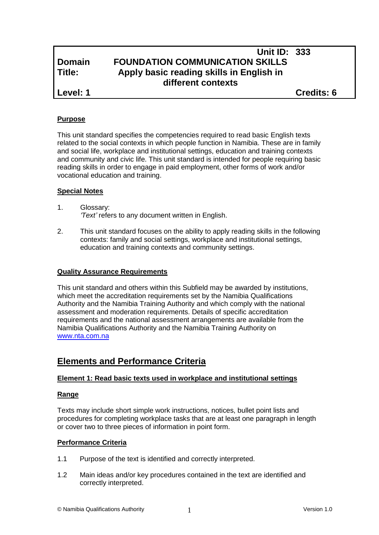# **Unit ID: 333 Domain FOUNDATION COMMUNICATION SKILLS Title: Apply basic reading skills in English in different contexts**

**Level: 1 Credits: 6**

# **Purpose**

This unit standard specifies the competencies required to read basic English texts related to the social contexts in which people function in Namibia. These are in family and social life, workplace and institutional settings, education and training contexts and community and civic life. This unit standard is intended for people requiring basic reading skills in order to engage in paid employment, other forms of work and/or vocational education and training.

# **Special Notes**

- 1. Glossary: *'Text'* refers to any document written in English.
- 2. This unit standard focuses on the ability to apply reading skills in the following contexts: family and social settings, workplace and institutional settings, education and training contexts and community settings.

# **Quality Assurance Requirements**

This unit standard and others within this Subfield may be awarded by institutions, which meet the accreditation requirements set by the Namibia Qualifications Authority and the Namibia Training Authority and which comply with the national assessment and moderation requirements. Details of specific accreditation requirements and the national assessment arrangements are available from the Namibia Qualifications Authority and the Namibia Training Authority on [www.nta.com.na](http://www.nta.com.na/)

# **Elements and Performance Criteria**

# **Element 1: Read basic texts used in workplace and institutional settings**

# **Range**

Texts may include short simple work instructions, notices, bullet point lists and procedures for completing workplace tasks that are at least one paragraph in length or cover two to three pieces of information in point form.

# **Performance Criteria**

- 1.1 Purpose of the text is identified and correctly interpreted.
- 1.2 Main ideas and/or key procedures contained in the text are identified and correctly interpreted.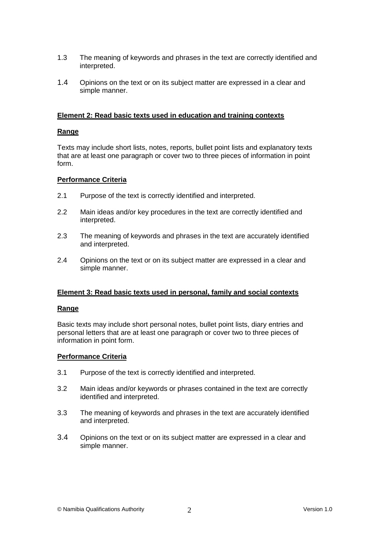- 1.3 The meaning of keywords and phrases in the text are correctly identified and interpreted.
- 1.4 Opinions on the text or on its subject matter are expressed in a clear and simple manner.

## **Element 2: Read basic texts used in education and training contexts**

#### **Range**

Texts may include short lists, notes, reports, bullet point lists and explanatory texts that are at least one paragraph or cover two to three pieces of information in point form.

#### **Performance Criteria**

- 2.1 Purpose of the text is correctly identified and interpreted.
- 2.2 Main ideas and/or key procedures in the text are correctly identified and interpreted.
- 2.3 The meaning of keywords and phrases in the text are accurately identified and interpreted.
- 2.4 Opinions on the text or on its subject matter are expressed in a clear and simple manner.

#### **Element 3: Read basic texts used in personal, family and social contexts**

#### **Range**

Basic texts may include short personal notes, bullet point lists, diary entries and personal letters that are at least one paragraph or cover two to three pieces of information in point form.

#### **Performance Criteria**

- 3.1 Purpose of the text is correctly identified and interpreted.
- 3.2 Main ideas and/or keywords or phrases contained in the text are correctly identified and interpreted.
- 3.3 The meaning of keywords and phrases in the text are accurately identified and interpreted.
- 3.4 Opinions on the text or on its subject matter are expressed in a clear and simple manner.